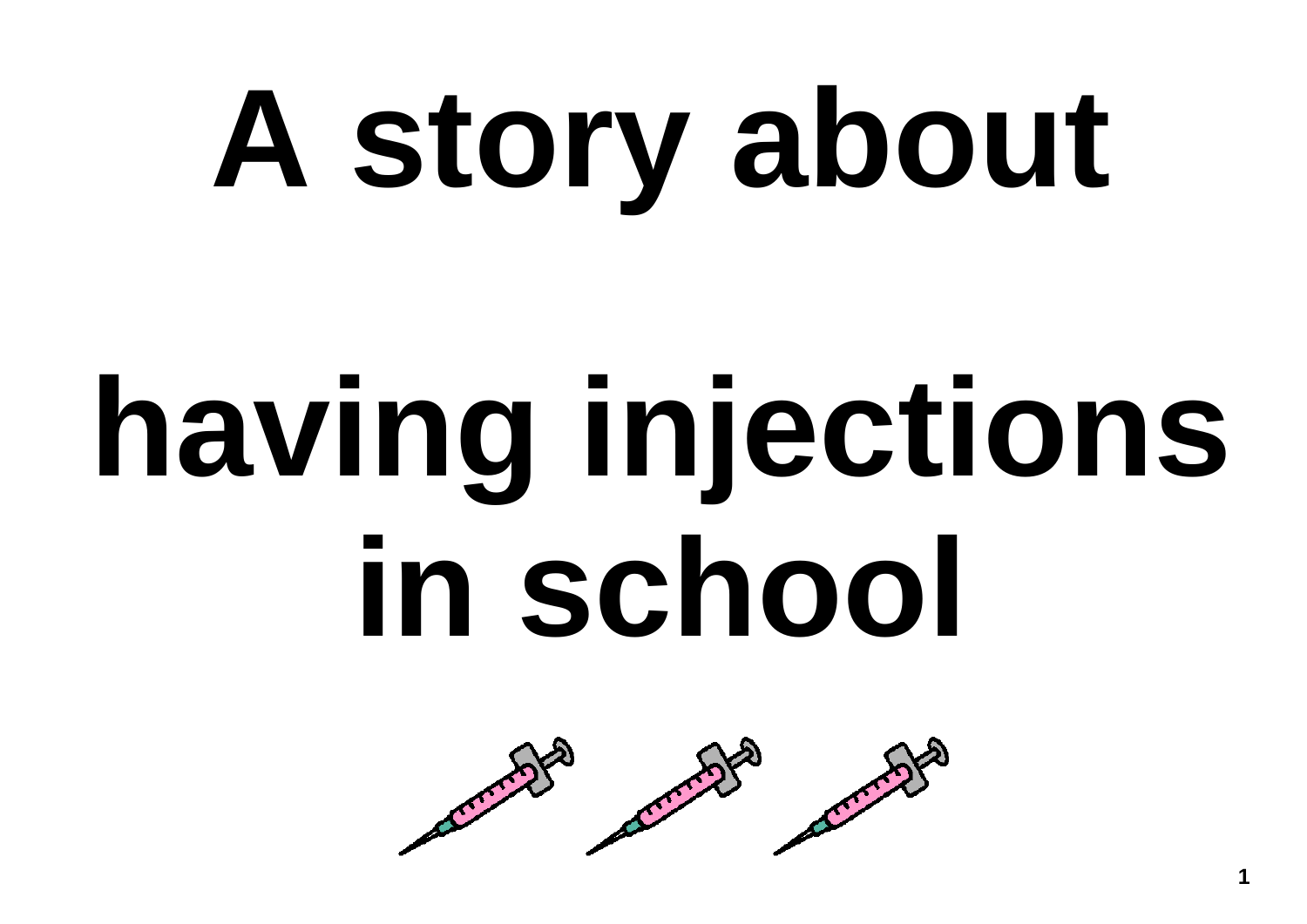# **A story about**

# **having injections in school**

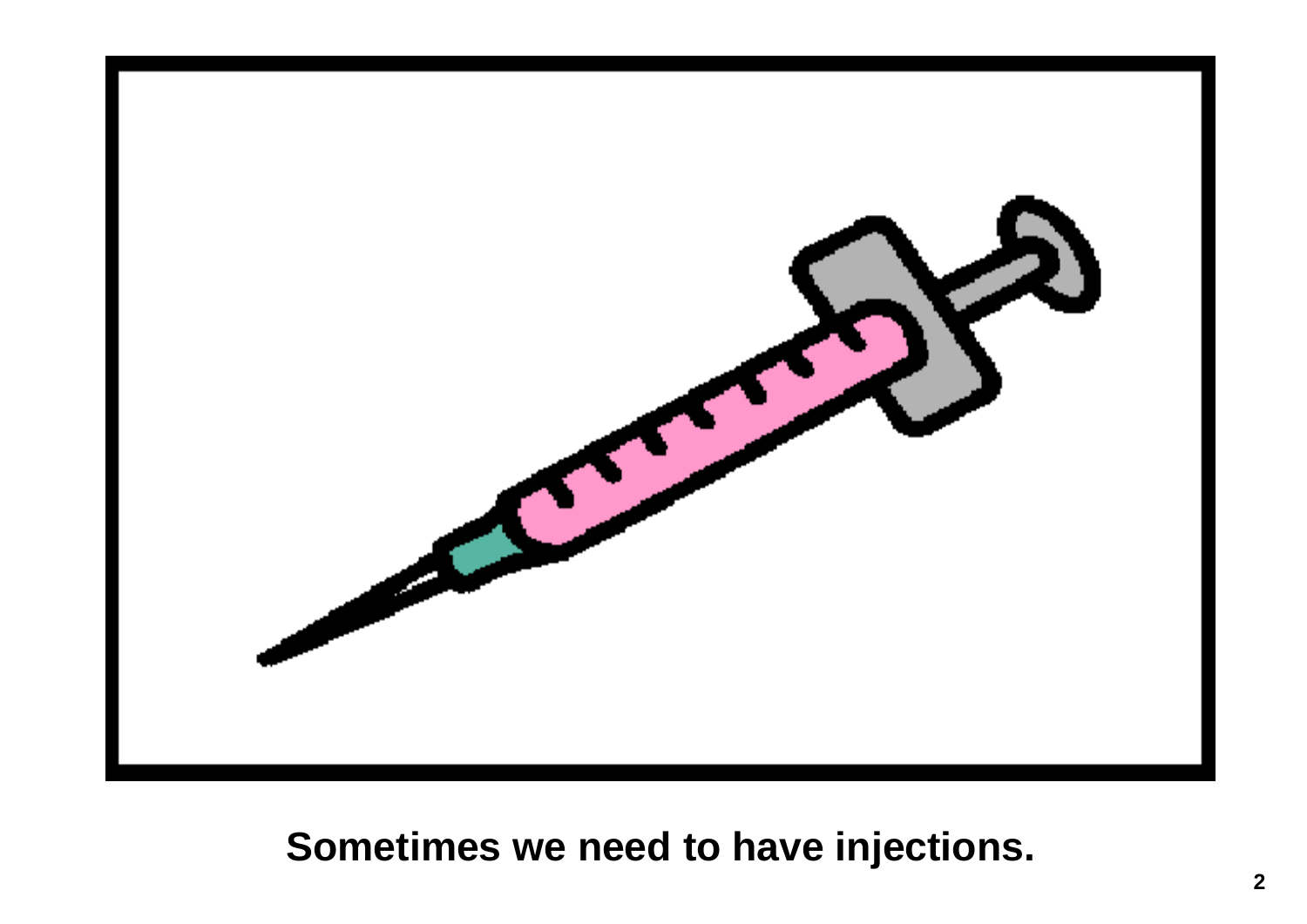

## **Sometimes we need to have injections.**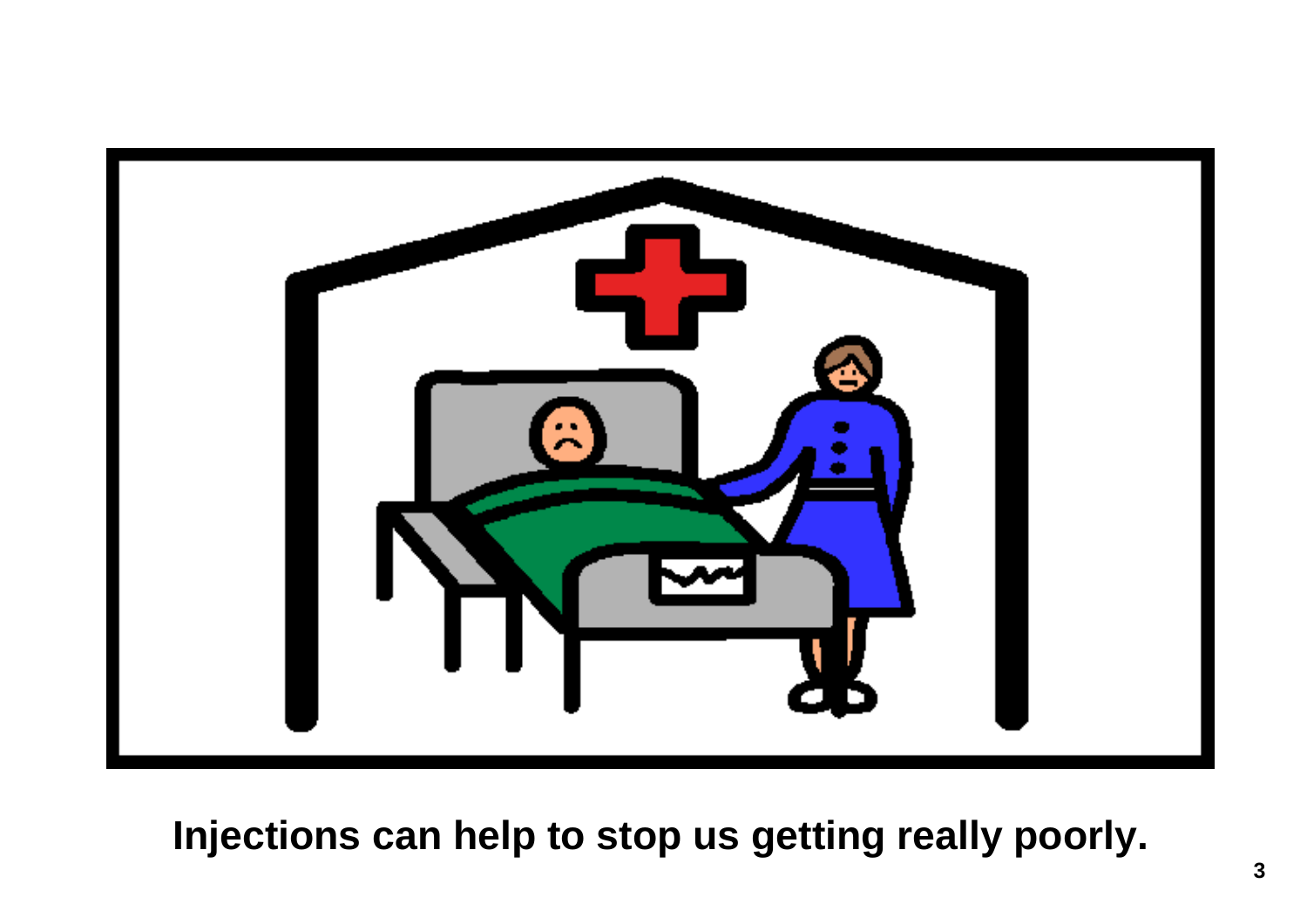

**Injections can help to stop us getting really poorly.**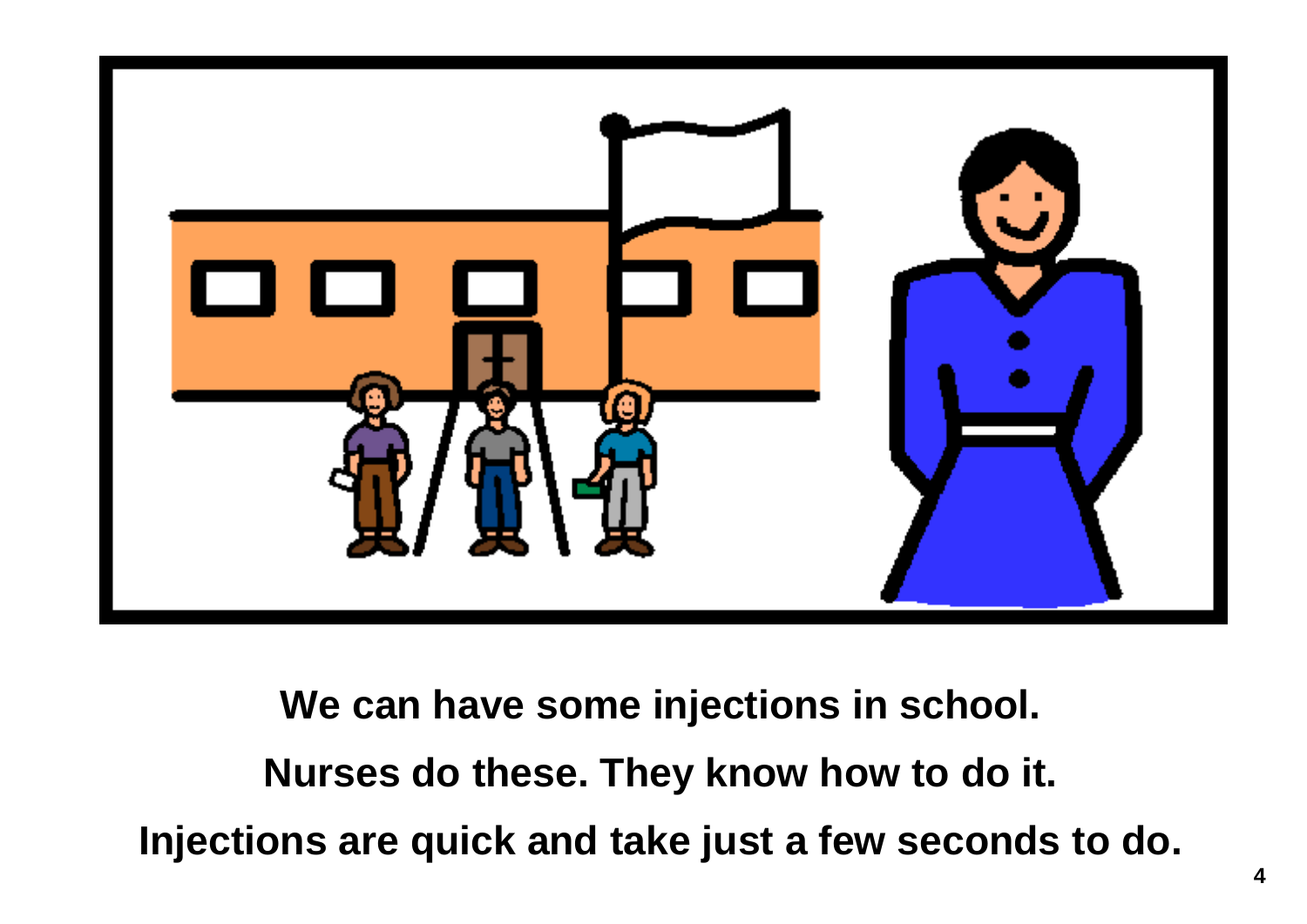

**We can have some injections in school. Nurses do these. They know how to do it. Injections are quick and take just a few seconds to do.**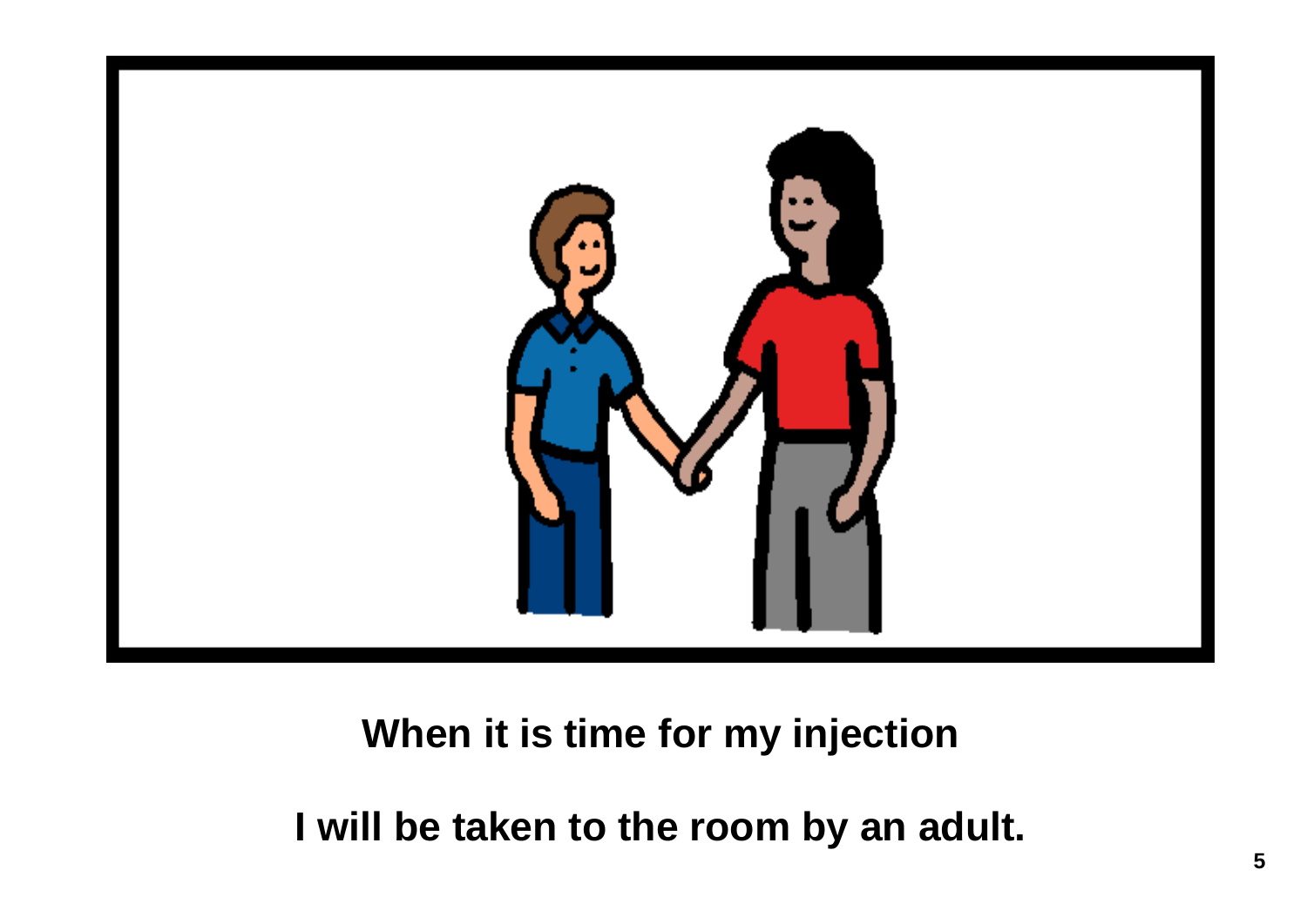

#### **When it is time for my injection**

**I will be taken to the room by an adult.**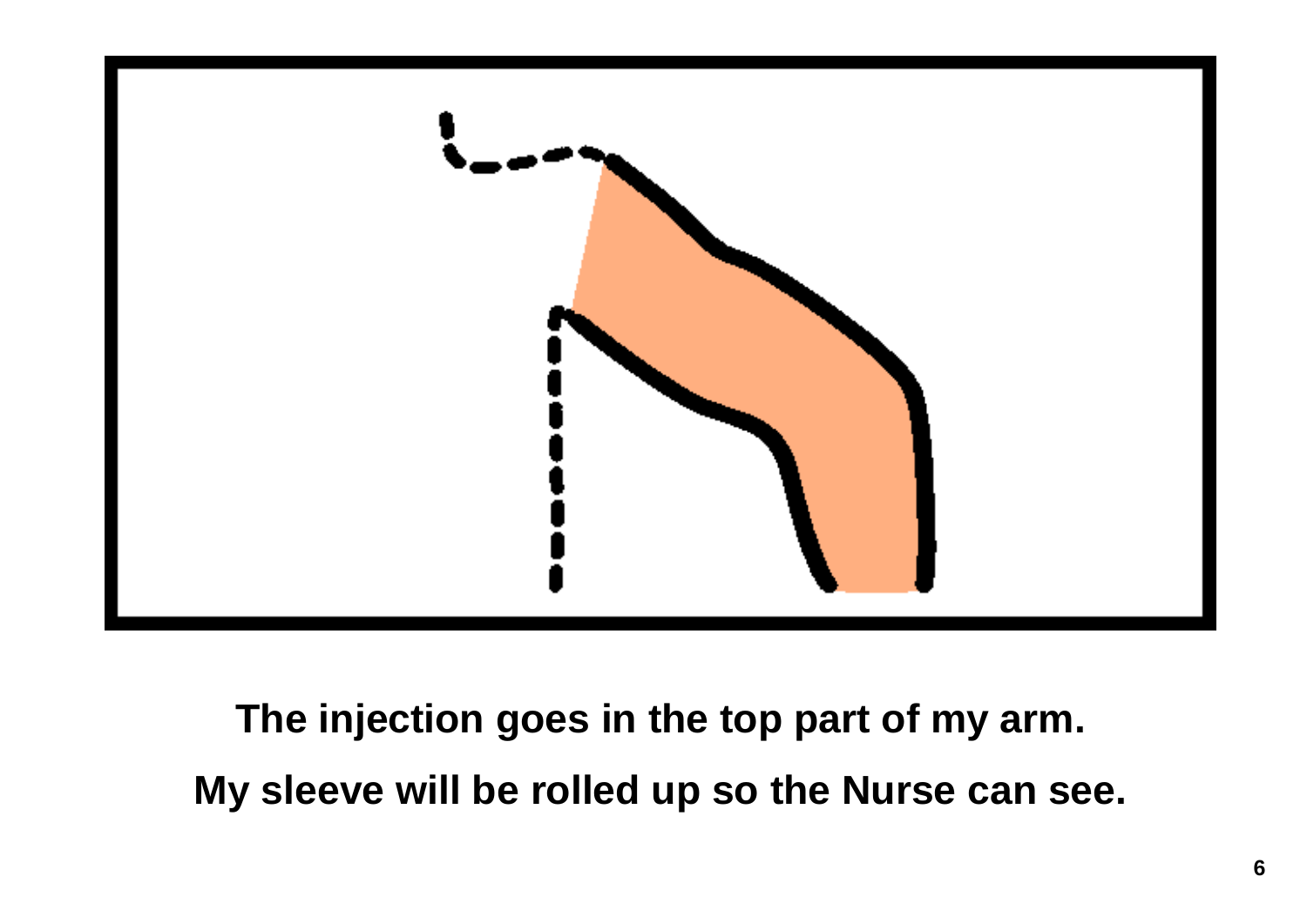

**The injection goes in the top part of my arm. My sleeve will be rolled up so the Nurse can see.**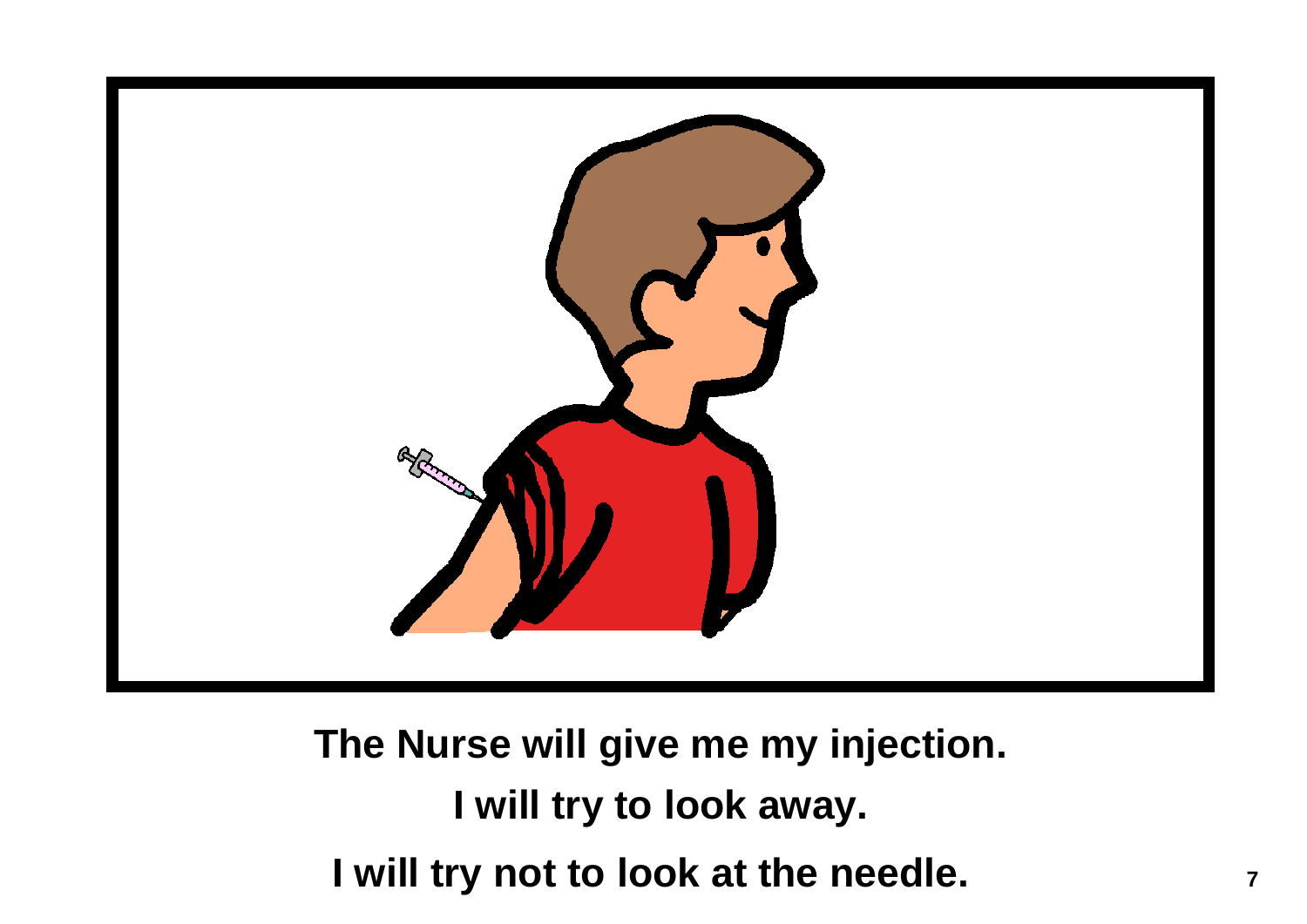

**The Nurse will give me my injection. I will try to look away.**  I will try not to look at the needle.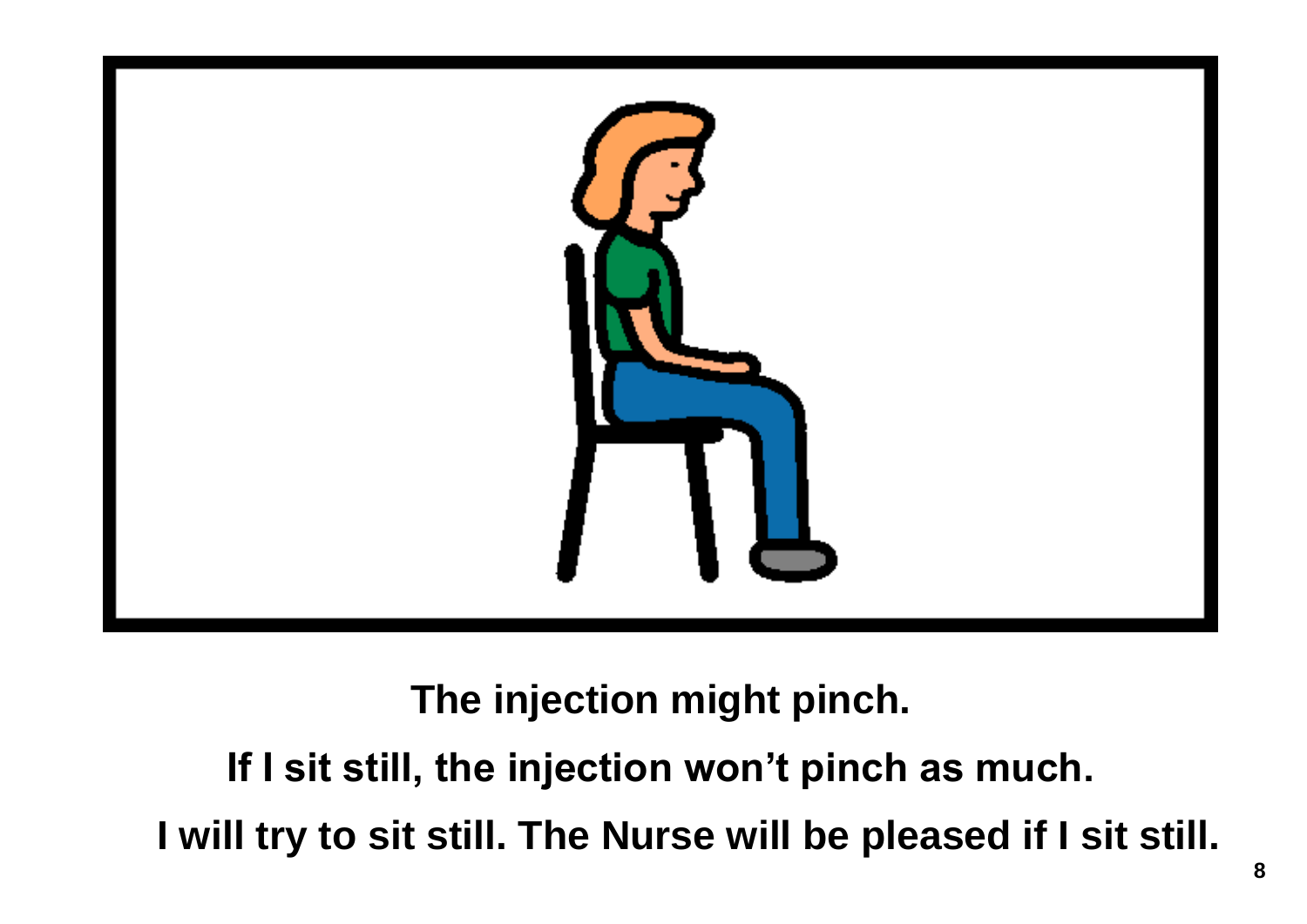

**The injection might pinch.** 

**If I sit still, the injection won't pinch as much. I will try to sit still. The Nurse will be pleased if I sit still.**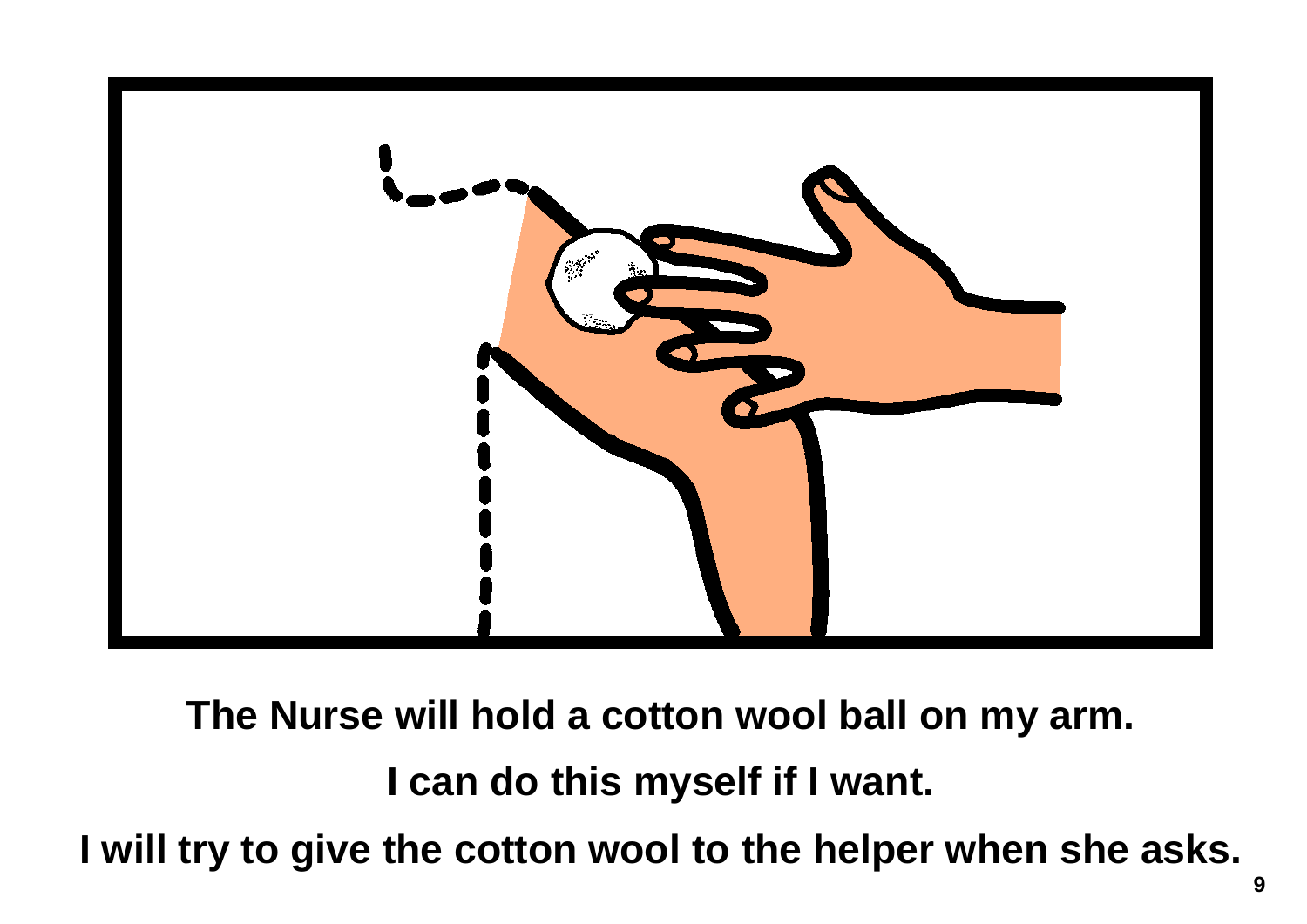

**The Nurse will hold a cotton wool ball on my arm.** 

**I can do this myself if I want.** 

**I will try to give the cotton wool to the helper when she asks.**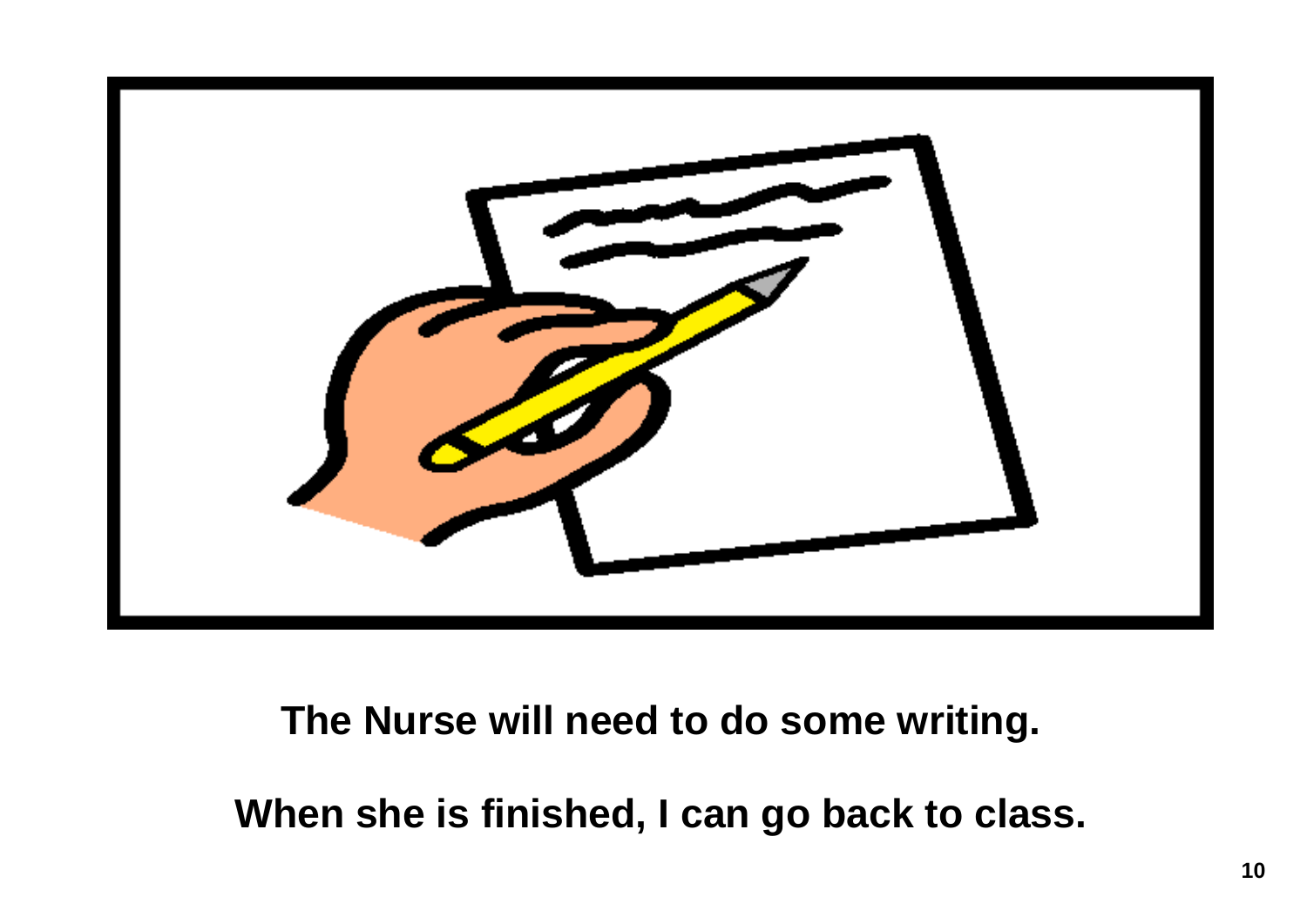

### **The Nurse will need to do some writing.**

**When she is finished, I can go back to class.**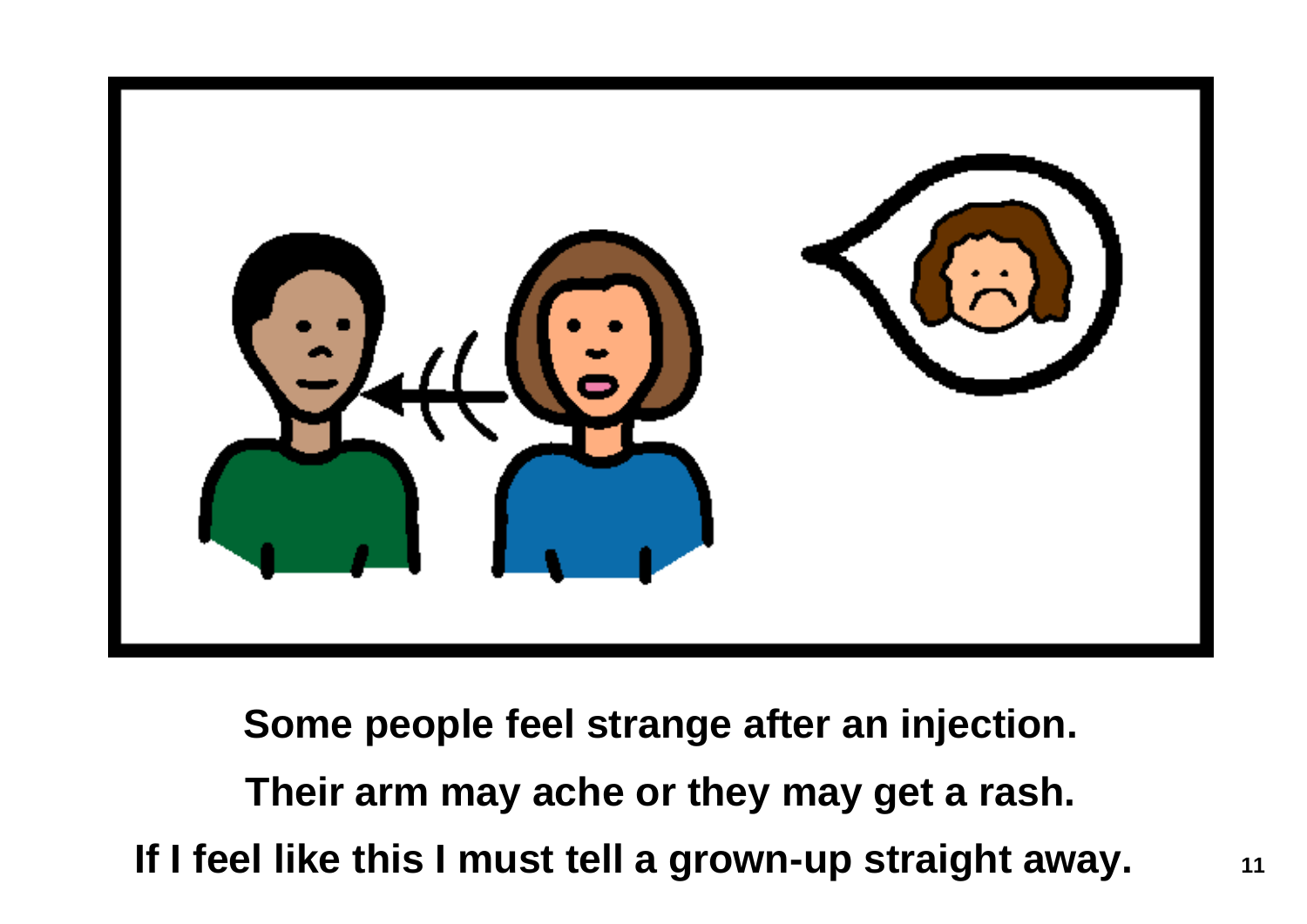

**Some people feel strange after an injection. Their arm may ache or they may get a rash. If I feel like this I must tell a grown-up straight away.** 11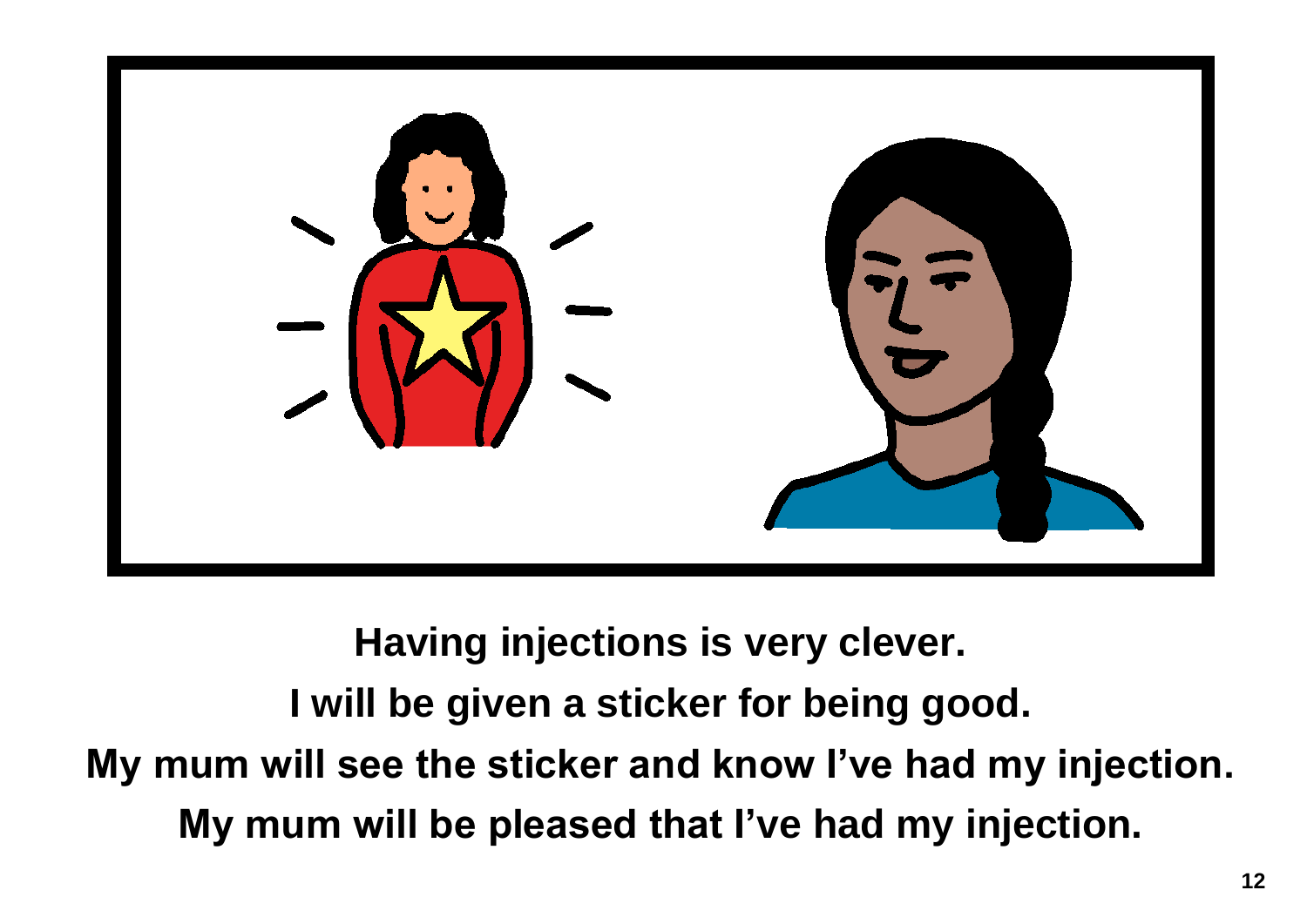

**Having injections is very clever. I will be given a sticker for being good. My mum will see the sticker and know I've had my injection. My mum will be pleased that I've had my injection.**